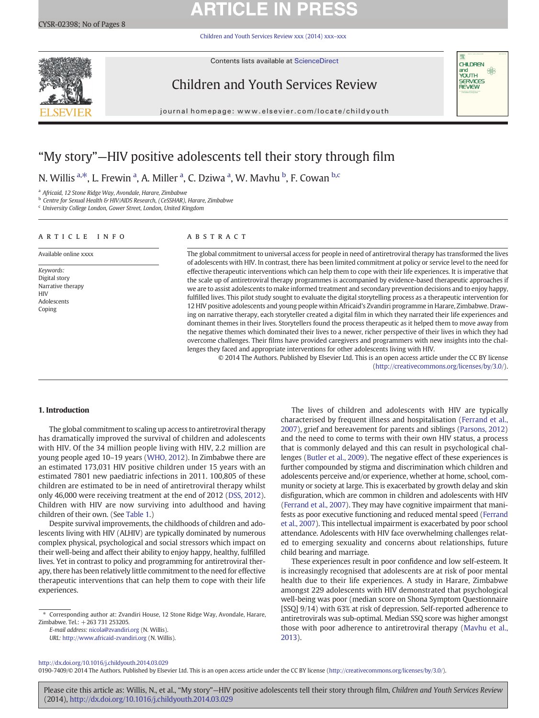# **ARTICLE IN PRESS**

[Children and Youth Services Review xxx \(2014\) xxx](http://dx.doi.org/10.1016/j.childyouth.2014.03.029)–xxx



Contents lists available at [ScienceDirect](http://www.sciencedirect.com/science/journal/01907409)

# Children and Youth Services Review



journal homepage: www.elsevier.com/locate/childyouth

# "My story"—HIV positive adolescents tell their story through film

N. Willis <sup>a,\*</sup>, L. Frewin <sup>a</sup>, A. Miller <sup>a</sup>, C. Dziwa <sup>a</sup>, W. Mavhu <sup>b</sup>, F. Cowan <sup>b,c</sup>

<sup>a</sup> Africaid, 12 Stone Ridge Way, Avondale, Harare, Zimbabwe

b Centre for Sexual Health & HIV/AIDS Research, (CeSSHAR), Harare, Zimbabwe

<sup>c</sup> University College London, Gower Street, London, United Kingdom

# article info abstract

### Available online xxxx

Keywords: Digital story Narrative therapy **HIV** Adolescents Coping

The global commitment to universal access for people in need of antiretroviral therapy has transformed the lives of adolescents with HIV. In contrast, there has been limited commitment at policy or service level to the need for effective therapeutic interventions which can help them to cope with their life experiences. It is imperative that the scale up of antiretroviral therapy programmes is accompanied by evidence-based therapeutic approaches if we are to assist adolescents to make informed treatment and secondary prevention decisions and to enjoy happy, fulfilled lives. This pilot study sought to evaluate the digital storytelling process as a therapeutic intervention for 12 HIV positive adolescents and young people within Africaid's Zvandiri programme in Harare, Zimbabwe. Drawing on narrative therapy, each storyteller created a digital film in which they narrated their life experiences and dominant themes in their lives. Storytellers found the process therapeutic as it helped them to move away from the negative themes which dominated their lives to a newer, richer perspective of their lives in which they had overcome challenges. Their films have provided caregivers and programmers with new insights into the challenges they faced and appropriate interventions for other adolescents living with HIV.

© 2014 The Authors. Published by Elsevier Ltd. This is an open access article under the CC BY license [\(http://creativecommons.org/licenses/by/3.0/\)](http://creativecommons.org/licenses/by/3.0/).

### 1. Introduction

The global commitment to scaling up access to antiretroviral therapy has dramatically improved the survival of children and adolescents with HIV. Of the 34 million people living with HIV, 2.2 million are young people aged 10–19 years ([WHO, 2012](#page-7-0)). In Zimbabwe there are an estimated 173,031 HIV positive children under 15 years with an estimated 7801 new paediatric infections in 2011. 100,805 of these children are estimated to be in need of antiretroviral therapy whilst only 46,000 were receiving treatment at the end of 2012 [\(DSS, 2012](#page-7-0)). Children with HIV are now surviving into adulthood and having children of their own. (See [Table 1](#page-1-0).)

Despite survival improvements, the childhoods of children and adolescents living with HIV (ALHIV) are typically dominated by numerous complex physical, psychological and social stressors which impact on their well-being and affect their ability to enjoy happy, healthy, fulfilled lives. Yet in contrast to policy and programming for antiretroviral therapy, there has been relatively little commitment to the need for effective therapeutic interventions that can help them to cope with their life experiences.

E-mail address: [nicola@zvandiri.org](mailto:nicola@zvandiri.org) (N. Willis).

URL: <http://www.africaid-zvandiri.org> (N. Willis).

The lives of children and adolescents with HIV are typically characterised by frequent illness and hospitalisation ([Ferrand et al.,](#page-7-0) [2007](#page-7-0)), grief and bereavement for parents and siblings ([Parsons, 2012](#page-7-0)) and the need to come to terms with their own HIV status, a process that is commonly delayed and this can result in psychological challenges [\(Butler et al., 2009](#page-7-0)). The negative effect of these experiences is further compounded by stigma and discrimination which children and adolescents perceive and/or experience, whether at home, school, community or society at large. This is exacerbated by growth delay and skin disfiguration, which are common in children and adolescents with HIV [\(Ferrand et al., 2007](#page-7-0)). They may have cognitive impairment that manifests as poor executive functioning and reduced mental speed [\(Ferrand](#page-7-0) [et al., 2007\)](#page-7-0). This intellectual impairment is exacerbated by poor school attendance. Adolescents with HIV face overwhelming challenges related to emerging sexuality and concerns about relationships, future child bearing and marriage.

These experiences result in poor confidence and low self-esteem. It is increasingly recognised that adolescents are at risk of poor mental health due to their life experiences. A study in Harare, Zimbabwe amongst 229 adolescents with HIV demonstrated that psychological well-being was poor (median score on Shona Symptom Questionnaire [SSQ] 9/14) with 63% at risk of depression. Self-reported adherence to antiretrovirals was sub-optimal. Median SSQ score was higher amongst those with poor adherence to antiretroviral therapy ([Mavhu et al.,](#page-7-0) [2013](#page-7-0)).

## <http://dx.doi.org/10.1016/j.childyouth.2014.03.029>

0190-7409/© 2014 The Authors. Published by Elsevier Ltd. This is an open access article under the CC BY license (<http://creativecommons.org/licenses/by/3.0/>).

<sup>⁎</sup> Corresponding author at: Zvandiri House, 12 Stone Ridge Way, Avondale, Harare, Zimbabwe. Tel.: +263 731 253205.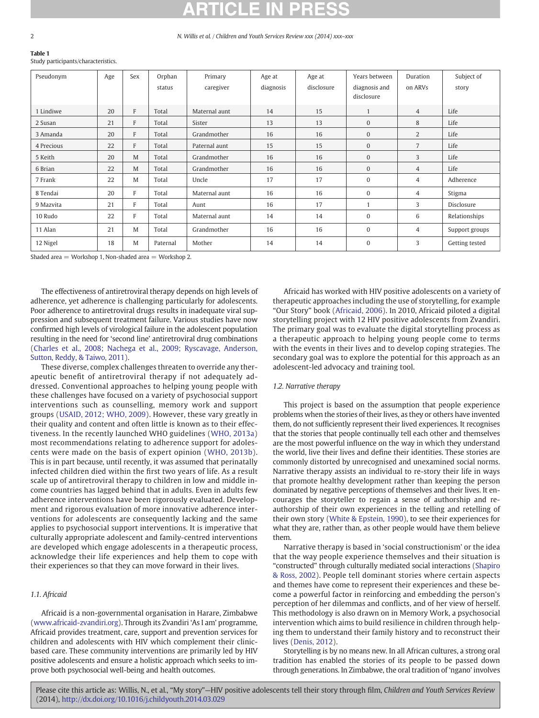<span id="page-1-0"></span>Table 1

Study participants/characteristics.

| Pseudonym  | Age | Sex | Orphan   | Primary       | Age at    | Age at     | Years between  | Duration       | Subject of     |
|------------|-----|-----|----------|---------------|-----------|------------|----------------|----------------|----------------|
|            |     |     | status   | caregiver     | diagnosis | disclosure | diagnosis and  | on ARVs        | story          |
|            |     |     |          |               |           |            | disclosure     |                |                |
| 1 Lindiwe  | 20  | F   | Total    | Maternal aunt | 14        | 15         | 1              | $\overline{4}$ | Life           |
| 2 Susan    | 21  | F   | Total    | Sister        | 13        | 13         | $\overline{0}$ | 8              | Life           |
| 3 Amanda   | 20  | F   | Total    | Grandmother   | 16        | 16         | $\Omega$       | $\overline{2}$ | Life           |
| 4 Precious | 22  | F   | Total    | Paternal aunt | 15        | 15         | $\overline{0}$ | $\overline{7}$ | Life           |
| 5 Keith    | 20  | M   | Total    | Grandmother   | 16        | 16         | $\mathbf{0}$   | 3              | Life           |
| 6 Brian    | 22  | M   | Total    | Grandmother   | 16        | 16         | $\overline{0}$ | $\overline{4}$ | Life           |
| 7 Frank    | 22  | M   | Total    | Uncle         | 17        | 17         | $\mathbf{0}$   | 4              | Adherence      |
| 8 Tendai   | 20  | F   | Total    | Maternal aunt | 16        | 16         | $\mathbf 0$    | 4              | Stigma         |
| 9 Mazvita  | 21  | F   | Total    | Aunt          | 16        | 17         | 1              | 3              | Disclosure     |
| 10 Rudo    | 22  | F   | Total    | Maternal aunt | 14        | 14         | $\Omega$       | 6              | Relationships  |
| 11 Alan    | 21  | M   | Total    | Grandmother   | 16        | 16         | $\Omega$       | 4              | Support groups |
| 12 Nigel   | 18  | M   | Paternal | Mother        | 14        | 14         | $\mathbf{0}$   | 3              | Getting tested |

Shaded area  $=$  Workshop 1, Non-shaded area  $=$  Workshop 2.

The effectiveness of antiretroviral therapy depends on high levels of adherence, yet adherence is challenging particularly for adolescents. Poor adherence to antiretroviral drugs results in inadequate viral suppression and subsequent treatment failure. Various studies have now confirmed high levels of virological failure in the adolescent population resulting in the need for 'second line' antiretroviral drug combinations [\(Charles et al., 2008; Nachega et al., 2009; Ryscavage, Anderson,](#page-7-0) [Sutton, Reddy, & Taiwo, 2011\)](#page-7-0).

These diverse, complex challenges threaten to override any therapeutic benefit of antiretroviral therapy if not adequately addressed. Conventional approaches to helping young people with these challenges have focused on a variety of psychosocial support interventions such as counselling, memory work and support groups ([USAID, 2012; WHO, 2009](#page-7-0)). However, these vary greatly in their quality and content and often little is known as to their effectiveness. In the recently launched WHO guidelines ([WHO, 2013a](#page-7-0)) most recommendations relating to adherence support for adolescents were made on the basis of expert opinion ([WHO, 2013b](#page-7-0)). This is in part because, until recently, it was assumed that perinatally infected children died within the first two years of life. As a result scale up of antiretroviral therapy to children in low and middle income countries has lagged behind that in adults. Even in adults few adherence interventions have been rigorously evaluated. Development and rigorous evaluation of more innovative adherence interventions for adolescents are consequently lacking and the same applies to psychosocial support interventions. It is imperative that culturally appropriate adolescent and family-centred interventions are developed which engage adolescents in a therapeutic process, acknowledge their life experiences and help them to cope with their experiences so that they can move forward in their lives.

# 1.1. Africaid

Africaid is a non-governmental organisation in Harare, Zimbabwe [\(www.africaid-zvandiri.org\)](http://www.africaid-zvandiri.org). Through its Zvandiri 'As I am' programme, Africaid provides treatment, care, support and prevention services for children and adolescents with HIV which complement their clinicbased care. These community interventions are primarily led by HIV positive adolescents and ensure a holistic approach which seeks to improve both psychosocial well-being and health outcomes.

Africaid has worked with HIV positive adolescents on a variety of therapeutic approaches including the use of storytelling, for example "Our Story" book ([Africaid, 2006\)](#page-6-0). In 2010, Africaid piloted a digital storytelling project with 12 HIV positive adolescents from Zvandiri. The primary goal was to evaluate the digital storytelling process as a therapeutic approach to helping young people come to terms with the events in their lives and to develop coping strategies. The secondary goal was to explore the potential for this approach as an adolescent-led advocacy and training tool.

# 1.2. Narrative therapy

This project is based on the assumption that people experience problems when the stories of their lives, as they or others have invented them, do not sufficiently represent their lived experiences. It recognises that the stories that people continually tell each other and themselves are the most powerful influence on the way in which they understand the world, live their lives and define their identities. These stories are commonly distorted by unrecognised and unexamined social norms. Narrative therapy assists an individual to re-story their life in ways that promote healthy development rather than keeping the person dominated by negative perceptions of themselves and their lives. It encourages the storyteller to regain a sense of authorship and reauthorship of their own experiences in the telling and retelling of their own story [\(White & Epstein, 1990\)](#page-7-0), to see their experiences for what they are, rather than, as other people would have them believe them.

Narrative therapy is based in 'social constructionism' or the idea that the way people experience themselves and their situation is "constructed" through culturally mediated social interactions [\(Shapiro](#page-7-0) [& Ross, 2002](#page-7-0)). People tell dominant stories where certain aspects and themes have come to represent their experiences and these become a powerful factor in reinforcing and embedding the person's perception of her dilemmas and conflicts, and of her view of herself. This methodology is also drawn on in Memory Work, a psychosocial intervention which aims to build resilience in children through helping them to understand their family history and to reconstruct their lives ([Denis, 2012\)](#page-7-0).

Storytelling is by no means new. In all African cultures, a strong oral tradition has enabled the stories of its people to be passed down through generations. In Zimbabwe, the oral tradition of 'ngano' involves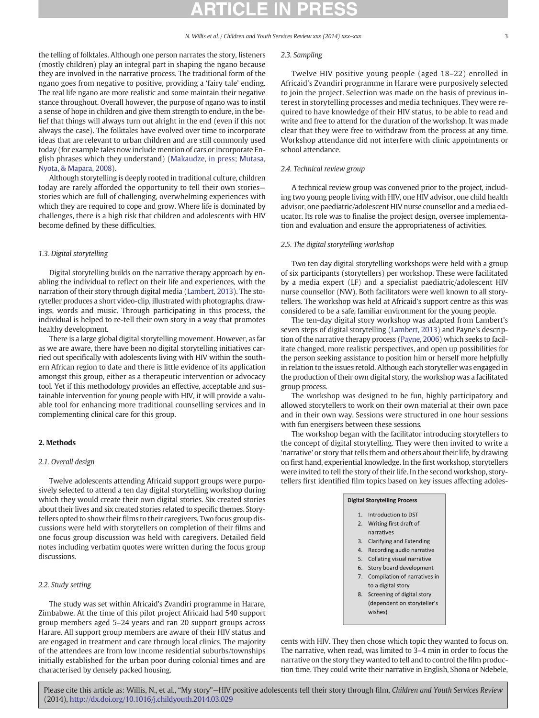the telling of folktales. Although one person narrates the story, listeners (mostly children) play an integral part in shaping the ngano because they are involved in the narrative process. The traditional form of the ngano goes from negative to positive, providing a 'fairy tale' ending. The real life ngano are more realistic and some maintain their negative stance throughout. Overall however, the purpose of ngano was to instil a sense of hope in children and give them strength to endure, in the belief that things will always turn out alright in the end (even if this not always the case). The folktales have evolved over time to incorporate ideas that are relevant to urban children and are still commonly used today (for example tales now include mention of cars or incorporate English phrases which they understand) ([Makaudze, in press; Mutasa,](#page-7-0) [Nyota, & Mapara, 2008\)](#page-7-0).

Although storytelling is deeply rooted in traditional culture, children today are rarely afforded the opportunity to tell their own stories stories which are full of challenging, overwhelming experiences with which they are required to cope and grow. Where life is dominated by challenges, there is a high risk that children and adolescents with HIV become defined by these difficulties.

# 1.3. Digital storytelling

Digital storytelling builds on the narrative therapy approach by enabling the individual to reflect on their life and experiences, with the narration of their story through digital media ([Lambert, 2013\)](#page-7-0). The storyteller produces a short video-clip, illustrated with photographs, drawings, words and music. Through participating in this process, the individual is helped to re-tell their own story in a way that promotes healthy development.

There is a large global digital storytelling movement. However, as far as we are aware, there have been no digital storytelling initiatives carried out specifically with adolescents living with HIV within the southern African region to date and there is little evidence of its application amongst this group, either as a therapeutic intervention or advocacy tool. Yet if this methodology provides an effective, acceptable and sustainable intervention for young people with HIV, it will provide a valuable tool for enhancing more traditional counselling services and in complementing clinical care for this group.

# 2. Methods

# 2.1. Overall design

Twelve adolescents attending Africaid support groups were purposively selected to attend a ten day digital storytelling workshop during which they would create their own digital stories. Six created stories about their lives and six created stories related to specific themes. Storytellers opted to show their films to their caregivers. Two focus group discussions were held with storytellers on completion of their films and one focus group discussion was held with caregivers. Detailed field notes including verbatim quotes were written during the focus group discussions.

#### 2.2. Study setting

The study was set within Africaid's Zvandiri programme in Harare, Zimbabwe. At the time of this pilot project Africaid had 540 support group members aged 5–24 years and ran 20 support groups across Harare. All support group members are aware of their HIV status and are engaged in treatment and care through local clinics. The majority of the attendees are from low income residential suburbs/townships initially established for the urban poor during colonial times and are characterised by densely packed housing.

# 2.3. Sampling

Twelve HIV positive young people (aged 18–22) enrolled in Africaid's Zvandiri programme in Harare were purposively selected to join the project. Selection was made on the basis of previous interest in storytelling processes and media techniques. They were required to have knowledge of their HIV status, to be able to read and write and free to attend for the duration of the workshop. It was made clear that they were free to withdraw from the process at any time. Workshop attendance did not interfere with clinic appointments or school attendance.

# 2.4. Technical review group

A technical review group was convened prior to the project, including two young people living with HIV, one HIV advisor, one child health advisor, one paediatric/adolescent HIV nurse counsellor and a media educator. Its role was to finalise the project design, oversee implementation and evaluation and ensure the appropriateness of activities.

# 2.5. The digital storytelling workshop

Two ten day digital storytelling workshops were held with a group of six participants (storytellers) per workshop. These were facilitated by a media expert (LF) and a specialist paediatric/adolescent HIV nurse counsellor (NW). Both facilitators were well known to all storytellers. The workshop was held at Africaid's support centre as this was considered to be a safe, familiar environment for the young people.

The ten-day digital story workshop was adapted from Lambert's seven steps of digital storytelling [\(Lambert, 2013](#page-7-0)) and Payne's description of the narrative therapy process ([Payne, 2006](#page-7-0)) which seeks to facilitate changed, more realistic perspectives, and open up possibilities for the person seeking assistance to position him or herself more helpfully in relation to the issues retold. Although each storyteller was engaged in the production of their own digital story, the workshop was a facilitated group process.

The workshop was designed to be fun, highly participatory and allowed storytellers to work on their own material at their own pace and in their own way. Sessions were structured in one hour sessions with fun energisers between these sessions.

The workshop began with the facilitator introducing storytellers to the concept of digital storytelling. They were then invited to write a 'narrative' or story that tells them and others about their life, by drawing on first hand, experiential knowledge. In the first workshop, storytellers were invited to tell the story of their life. In the second workshop, storytellers first identified film topics based on key issues affecting adoles-

# **Digital Storytelling Process**

| 1. Introduction to DST    |
|---------------------------|
| 2. Writing first draft of |
| narratives                |

- 3. Clarifying and Extending
- 4. Recording audio narrative
- 5. Collating visual narrative
- 6. Story board development
- 7. Compilation of narratives in
- to a digital story
- 8. Screening of digital story (dependent on storyteller's wishes)

cents with HIV. They then chose which topic they wanted to focus on. The narrative, when read, was limited to 3–4 min in order to focus the narrative on the story they wanted to tell and to control the film production time. They could write their narrative in English, Shona or Ndebele,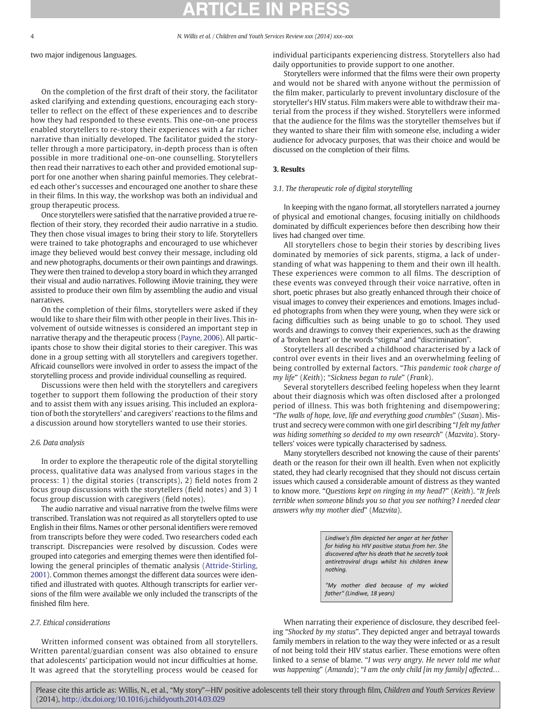two major indigenous languages.

On the completion of the first draft of their story, the facilitator asked clarifying and extending questions, encouraging each storyteller to reflect on the effect of these experiences and to describe how they had responded to these events. This one-on-one process enabled storytellers to re-story their experiences with a far richer narrative than initially developed. The facilitator guided the storyteller through a more participatory, in-depth process than is often possible in more traditional one-on-one counselling. Storytellers then read their narratives to each other and provided emotional support for one another when sharing painful memories. They celebrated each other's successes and encouraged one another to share these in their films. In this way, the workshop was both an individual and group therapeutic process.

Once storytellers were satisfied that the narrative provided a true reflection of their story, they recorded their audio narrative in a studio. They then chose visual images to bring their story to life. Storytellers were trained to take photographs and encouraged to use whichever image they believed would best convey their message, including old and new photographs, documents or their own paintings and drawings. They were then trained to develop a story board in which they arranged their visual and audio narratives. Following iMovie training, they were assisted to produce their own film by assembling the audio and visual narratives.

On the completion of their films, storytellers were asked if they would like to share their film with other people in their lives. This involvement of outside witnesses is considered an important step in narrative therapy and the therapeutic process [\(Payne, 2006\)](#page-7-0). All participants chose to show their digital stories to their caregiver. This was done in a group setting with all storytellers and caregivers together. Africaid counsellors were involved in order to assess the impact of the storytelling process and provide individual counselling as required.

Discussions were then held with the storytellers and caregivers together to support them following the production of their story and to assist them with any issues arising. This included an exploration of both the storytellers' and caregivers' reactions to the films and a discussion around how storytellers wanted to use their stories.

# 2.6. Data analysis

In order to explore the therapeutic role of the digital storytelling process, qualitative data was analysed from various stages in the process: 1) the digital stories (transcripts), 2) field notes from 2 focus group discussions with the storytellers (field notes) and 3) 1 focus group discussion with caregivers (field notes).

The audio narrative and visual narrative from the twelve films were transcribed. Translation was not required as all storytellers opted to use English in their films. Names or other personal identifiers were removed from transcripts before they were coded. Two researchers coded each transcript. Discrepancies were resolved by discussion. Codes were grouped into categories and emerging themes were then identified following the general principles of thematic analysis ([Attride-Stirling,](#page-6-0) [2001\)](#page-6-0). Common themes amongst the different data sources were identified and illustrated with quotes. Although transcripts for earlier versions of the film were available we only included the transcripts of the finished film here.

## 2.7. Ethical considerations

Written informed consent was obtained from all storytellers. Written parental/guardian consent was also obtained to ensure that adolescents' participation would not incur difficulties at home. It was agreed that the storytelling process would be ceased for individual participants experiencing distress. Storytellers also had daily opportunities to provide support to one another.

Storytellers were informed that the films were their own property and would not be shared with anyone without the permission of the film maker, particularly to prevent involuntary disclosure of the storyteller's HIV status. Film makers were able to withdraw their material from the process if they wished. Storytellers were informed that the audience for the films was the storyteller themselves but if they wanted to share their film with someone else, including a wider audience for advocacy purposes, that was their choice and would be discussed on the completion of their films.

### 3. Results

### 3.1. The therapeutic role of digital storytelling

In keeping with the ngano format, all storytellers narrated a journey of physical and emotional changes, focusing initially on childhoods dominated by difficult experiences before then describing how their lives had changed over time.

All storytellers chose to begin their stories by describing lives dominated by memories of sick parents, stigma, a lack of understanding of what was happening to them and their own ill health. These experiences were common to all films. The description of these events was conveyed through their voice narrative, often in short, poetic phrases but also greatly enhanced through their choice of visual images to convey their experiences and emotions. Images included photographs from when they were young, when they were sick or facing difficulties such as being unable to go to school. They used words and drawings to convey their experiences, such as the drawing of a 'broken heart' or the words "stigma" and "discrimination".

Storytellers all described a childhood characterised by a lack of control over events in their lives and an overwhelming feeling of being controlled by external factors. "This pandemic took charge of my life" (Keith); "Sickness began to rule" (Frank).

Several storytellers described feeling hopeless when they learnt about their diagnosis which was often disclosed after a prolonged period of illness. This was both frightening and disempowering; "The walls of hope, love, life and everything good crumbles" (Susan). Mistrust and secrecy were common with one girl describing "I felt my father was hiding something so decided to my own research" (Mazvita). Storytellers' voices were typically characterised by sadness.

Many storytellers described not knowing the cause of their parents' death or the reason for their own ill health. Even when not explicitly stated, they had clearly recognised that they should not discuss certain issues which caused a considerable amount of distress as they wanted to know more. "Questions kept on ringing in my head?" (Keith). "It feels terrible when someone blinds you so that you see nothing? I needed clear answers why my mother died" (Mazvita).

> Lindiwe's film depicted her anger at her father for hiding his HIV positive status from her. She discovered after his death that he secretly took antiretroviral drugs whilst his children knew nothina

> "My mother died because of my wicked father" (Lindiwe, 18 years)

When narrating their experience of disclosure, they described feeling "Shocked by my status". They depicted anger and betrayal towards family members in relation to the way they were infected or as a result of not being told their HIV status earlier. These emotions were often linked to a sense of blame. "I was very angry. He never told me what was happening" (Amanda); "I am the only child [in my family] affected...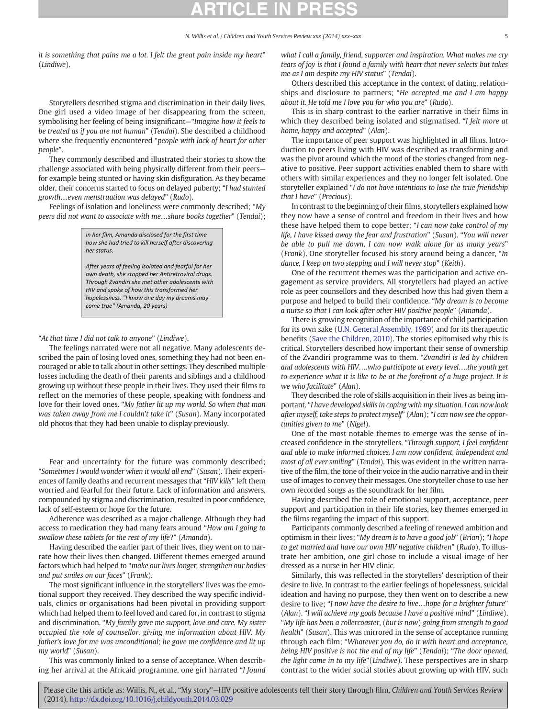it is something that pains me a lot. I felt the great pain inside my heart" (Lindiwe).

Storytellers described stigma and discrimination in their daily lives. One girl used a video image of her disappearing from the screen, symbolising her feeling of being insignificant—"Imagine how it feels to be treated as if you are not human" (Tendai). She described a childhood where she frequently encountered "people with lack of heart for other people".

They commonly described and illustrated their stories to show the challenge associated with being physically different from their peers for example being stunted or having skin disfiguration. As they became older, their concerns started to focus on delayed puberty; "I had stunted growth…even menstruation was delayed" (Rudo).

Feelings of isolation and loneliness were commonly described; "My peers did not want to associate with me…share books together" (Tendai);

> In her film, Amanda disclosed for the first time how she had tried to kill herself after discovering her status.

> After vears of feeling isolated and fearful for her own death, she stopped her Antiretroviral drugs. Through Zvandiri she met other adolescents with HIV and spoke of how this transformed her hopelessness. "I know one day my dreams may come true" (Amanda, 20 years)

#### "At that time I did not talk to anyone" (Lindiwe).

The feelings narrated were not all negative. Many adolescents described the pain of losing loved ones, something they had not been encouraged or able to talk about in other settings. They described multiple losses including the death of their parents and siblings and a childhood growing up without these people in their lives. They used their films to reflect on the memories of these people, speaking with fondness and love for their loved ones. "My father lit up my world. So when that man was taken away from me I couldn't take it" (Susan). Many incorporated old photos that they had been unable to display previously.

Fear and uncertainty for the future was commonly described; "Sometimes I would wonder when it would all end" (Susan). Their experiences of family deaths and recurrent messages that "HIV kills" left them worried and fearful for their future. Lack of information and answers, compounded by stigma and discrimination, resulted in poor confidence, lack of self-esteem or hope for the future.

Adherence was described as a major challenge. Although they had access to medication they had many fears around "How am I going to swallow these tablets for the rest of my life?" (Amanda).

Having described the earlier part of their lives, they went on to narrate how their lives then changed. Different themes emerged around factors which had helped to "make our lives longer, strengthen our bodies and put smiles on our faces" (Frank).

The most significant influence in the storytellers' lives was the emotional support they received. They described the way specific individuals, clinics or organisations had been pivotal in providing support which had helped them to feel loved and cared for, in contrast to stigma and discrimination. "My family gave me support, love and care. My sister occupied the role of counsellor, giving me information about HIV. My father's love for me was unconditional; he gave me confidence and lit up my world" (Susan).

This was commonly linked to a sense of acceptance. When describing her arrival at the Africaid programme, one girl narrated "I found what I call a family, friend, supporter and inspiration. What makes me cry tears of joy is that I found a family with heart that never selects but takes me as I am despite my HIV status" (Tendai).

Others described this acceptance in the context of dating, relationships and disclosure to partners; "He accepted me and I am happy about it. He told me I love you for who you are" (Rudo).

This is in sharp contrast to the earlier narrative in their films in which they described being isolated and stigmatised. "I felt more at home, happy and accepted" (Alan).

The importance of peer support was highlighted in all films. Introduction to peers living with HIV was described as transforming and was the pivot around which the mood of the stories changed from negative to positive. Peer support activities enabled them to share with others with similar experiences and they no longer felt isolated. One storyteller explained "I do not have intentions to lose the true friendship that I have" (Precious).

In contrast to the beginning of their films, storytellers explained how they now have a sense of control and freedom in their lives and how these have helped them to cope better; "I can now take control of my life, I have kissed away the fear and frustration" (Susan). "You will never be able to pull me down, I can now walk alone for as many years" (Frank). One storyteller focused his story around being a dancer, "In dance, I keep on two stepping and I will never stop" (Keith).

One of the recurrent themes was the participation and active engagement as service providers. All storytellers had played an active role as peer counsellors and they described how this had given them a purpose and helped to build their confidence. "My dream is to become a nurse so that I can look after other HIV positive people" (Amanda).

There is growing recognition of the importance of child participation for its own sake [\(U.N. General Assembly, 1989](#page-7-0)) and for its therapeutic benefits [\(Save the Children, 2010\)](#page-7-0). The stories epitomised why this is critical. Storytellers described how important their sense of ownership of the Zvandiri programme was to them. "Zvandiri is led by children and adolescents with HIV….who participate at every level….the youth get to experience what it is like to be at the forefront of a huge project. It is we who facilitate" (Alan).

They described the role of skills acquisition in their lives as being important. "I have developed skills in coping with my situation. I can now look after myself, take steps to protect myself" (Alan); "I can now see the opportunities given to me" (Nigel).

One of the most notable themes to emerge was the sense of increased confidence in the storytellers. "Through support, I feel confident and able to make informed choices. I am now confident, independent and most of all ever smiling" (Tendai). This was evident in the written narrative of the film, the tone of their voice in the audio narrative and in their use of images to convey their messages. One storyteller chose to use her own recorded songs as the soundtrack for her film.

Having described the role of emotional support, acceptance, peer support and participation in their life stories, key themes emerged in the films regarding the impact of this support.

Participants commonly described a feeling of renewed ambition and optimism in their lives; "My dream is to have a good job" (Brian); "I hope to get married and have our own HIV negative children" (Rudo). To illustrate her ambition, one girl chose to include a visual image of her dressed as a nurse in her HIV clinic.

Similarly, this was reflected in the storytellers' description of their desire to live. In contrast to the earlier feelings of hopelessness, suicidal ideation and having no purpose, they then went on to describe a new desire to live; "I now have the desire to live…hope for a brighter future" (Alan). "I will achieve my goals because I have a positive mind" (Lindiwe). "My life has been a rollercoaster, (but is now) going from strength to good health" (Susan). This was mirrored in the sense of acceptance running through each film; "Whatever you do, do it with heart and acceptance, being HIV positive is not the end of my life" (Tendai); "The door opened, the light came in to my life"(Lindiwe). These perspectives are in sharp contrast to the wider social stories about growing up with HIV, such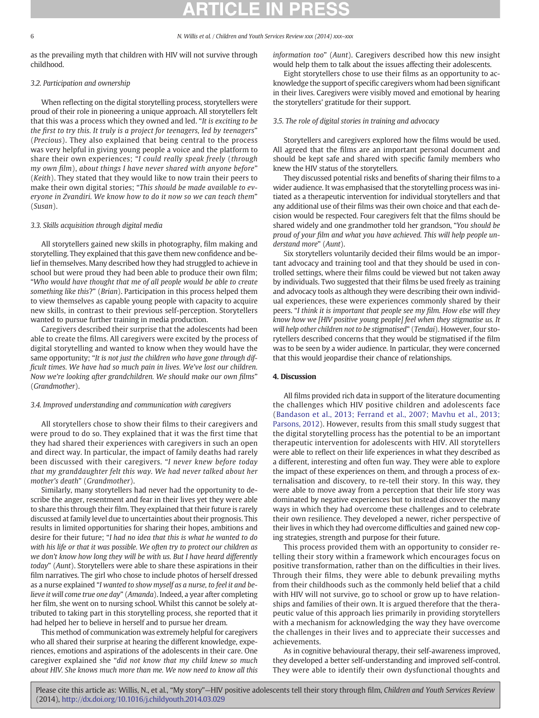as the prevailing myth that children with HIV will not survive through childhood.

### 3.2. Participation and ownership

When reflecting on the digital storytelling process, storytellers were proud of their role in pioneering a unique approach. All storytellers felt that this was a process which they owned and led. "It is exciting to be the first to try this. It truly is a project for teenagers, led by teenagers" (Precious). They also explained that being central to the process was very helpful in giving young people a voice and the platform to share their own experiences; "I could really speak freely (through my own film), about things I have never shared with anyone before" (Keith). They stated that they would like to now train their peers to make their own digital stories; "This should be made available to everyone in Zvandiri. We know how to do it now so we can teach them" (Susan).

## 3.3. Skills acquisition through digital media

All storytellers gained new skills in photography, film making and storytelling. They explained that this gave them new confidence and belief in themselves. Many described how they had struggled to achieve in school but were proud they had been able to produce their own film; "Who would have thought that me of all people would be able to create something like this?" (Brian). Participation in this process helped them to view themselves as capable young people with capacity to acquire new skills, in contrast to their previous self-perception. Storytellers wanted to pursue further training in media production.

Caregivers described their surprise that the adolescents had been able to create the films. All caregivers were excited by the process of digital storytelling and wanted to know when they would have the same opportunity; "It is not just the children who have gone through difficult times. We have had so much pain in lives. We've lost our children. Now we're looking after grandchildren. We should make our own films" (Grandmother).

#### 3.4. Improved understanding and communication with caregivers

All storytellers chose to show their films to their caregivers and were proud to do so. They explained that it was the first time that they had shared their experiences with caregivers in such an open and direct way. In particular, the impact of family deaths had rarely been discussed with their caregivers. "I never knew before today that my granddaughter felt this way. We had never talked about her mother's death" (Grandmother).

Similarly, many storytellers had never had the opportunity to describe the anger, resentment and fear in their lives yet they were able to share this through their film. They explained that their future is rarely discussed at family level due to uncertainties about their prognosis. This results in limited opportunities for sharing their hopes, ambitions and desire for their future; "I had no idea that this is what he wanted to do with his life or that it was possible. We often try to protect our children as we don't know how long they will be with us. But I have heard differently today" (Aunt). Storytellers were able to share these aspirations in their film narratives. The girl who chose to include photos of herself dressed as a nurse explained "I wanted to show myself as a nurse, to feel it and believe it will come true one day" (Amanda). Indeed, a year after completing her film, she went on to nursing school. Whilst this cannot be solely attributed to taking part in this storytelling process, she reported that it had helped her to believe in herself and to pursue her dream.

This method of communication was extremely helpful for caregivers who all shared their surprise at hearing the different knowledge, experiences, emotions and aspirations of the adolescents in their care. One caregiver explained she "did not know that my child knew so much about HIV. She knows much more than me. We now need to know all this information too" (Aunt). Caregivers described how this new insight would help them to talk about the issues affecting their adolescents.

Eight storytellers chose to use their films as an opportunity to acknowledge the support of specific caregivers whom had been significant in their lives. Caregivers were visibly moved and emotional by hearing the storytellers' gratitude for their support.

## 3.5. The role of digital stories in training and advocacy

Storytellers and caregivers explored how the films would be used. All agreed that the films are an important personal document and should be kept safe and shared with specific family members who knew the HIV status of the storytellers.

They discussed potential risks and benefits of sharing their films to a wider audience. It was emphasised that the storytelling process was initiated as a therapeutic intervention for individual storytellers and that any additional use of their films was their own choice and that each decision would be respected. Four caregivers felt that the films should be shared widely and one grandmother told her grandson, "You should be proud of your film and what you have achieved. This will help people understand more" (Aunt).

Six storytellers voluntarily decided their films would be an important advocacy and training tool and that they should be used in controlled settings, where their films could be viewed but not taken away by individuals. Two suggested that their films be used freely as training and advocacy tools as although they were describing their own individual experiences, these were experiences commonly shared by their peers. "I think it is important that people see my film. How else will they know how we [HIV positive young people] feel when they stigmatise us. It will help other children not to be stigmatised" (Tendai). However, four storytellers described concerns that they would be stigmatised if the film was to be seen by a wider audience. In particular, they were concerned that this would jeopardise their chance of relationships.

# 4. Discussion

All films provided rich data in support of the literature documenting the challenges which HIV positive children and adolescents face ([Bandason et al., 2013; Ferrand et al., 2007; Mavhu et al., 2013;](#page-6-0) [Parsons, 2012](#page-6-0)). However, results from this small study suggest that the digital storytelling process has the potential to be an important therapeutic intervention for adolescents with HIV. All storytellers were able to reflect on their life experiences in what they described as a different, interesting and often fun way. They were able to explore the impact of these experiences on them, and through a process of externalisation and discovery, to re-tell their story. In this way, they were able to move away from a perception that their life story was dominated by negative experiences but to instead discover the many ways in which they had overcome these challenges and to celebrate their own resilience. They developed a newer, richer perspective of their lives in which they had overcome difficulties and gained new coping strategies, strength and purpose for their future.

This process provided them with an opportunity to consider retelling their story within a framework which encourages focus on positive transformation, rather than on the difficulties in their lives. Through their films, they were able to debunk prevailing myths from their childhoods such as the commonly held belief that a child with HIV will not survive, go to school or grow up to have relationships and families of their own. It is argued therefore that the therapeutic value of this approach lies primarily in providing storytellers with a mechanism for acknowledging the way they have overcome the challenges in their lives and to appreciate their successes and achievements.

As in cognitive behavioural therapy, their self-awareness improved, they developed a better self-understanding and improved self-control. They were able to identify their own dysfunctional thoughts and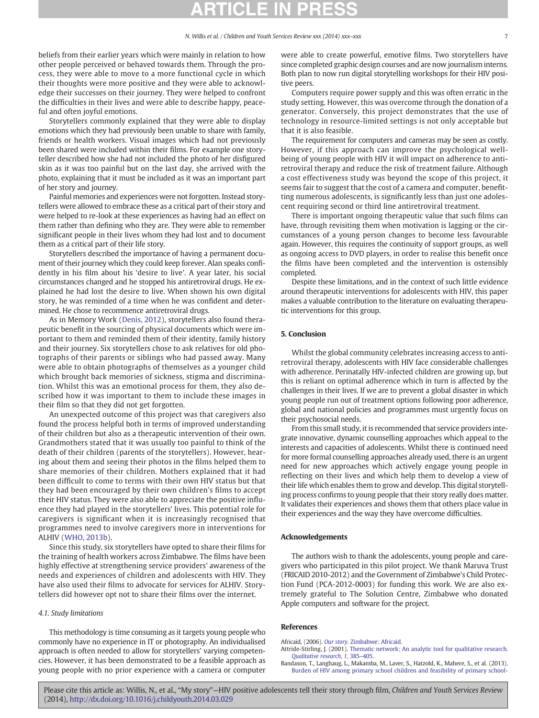<span id="page-6-0"></span>beliefs from their earlier years which were mainly in relation to how other people perceived or behaved towards them. Through the process, they were able to move to a more functional cycle in which their thoughts were more positive and they were able to acknowledge their successes on their journey. They were helped to confront the difficulties in their lives and were able to describe happy, peaceful and often joyful emotions.

Storytellers commonly explained that they were able to display emotions which they had previously been unable to share with family, friends or health workers. Visual images which had not previously been shared were included within their films. For example one storyteller described how she had not included the photo of her disfigured skin as it was too painful but on the last day, she arrived with the photo, explaining that it must be included as it was an important part of her story and journey.

Painful memories and experiences were not forgotten. Instead storytellers were allowed to embrace these as a critical part of their story and were helped to re-look at these experiences as having had an effect on them rather than defining who they are. They were able to remember significant people in their lives whom they had lost and to document them as a critical part of their life story.

Storytellers described the importance of having a permanent document of their journey which they could keep forever. Alan speaks confidently in his film about his 'desire to live'. A year later, his social circumstances changed and he stopped his antiretroviral drugs. He explained he had lost the desire to live. When shown his own digital story, he was reminded of a time when he was confident and determined. He chose to recommence antiretroviral drugs.

As in Memory Work ([Denis, 2012](#page-7-0)), storytellers also found therapeutic benefit in the sourcing of physical documents which were important to them and reminded them of their identity, family history and their journey. Six storytellers chose to ask relatives for old photographs of their parents or siblings who had passed away. Many were able to obtain photographs of themselves as a younger child which brought back memories of sickness, stigma and discrimination. Whilst this was an emotional process for them, they also described how it was important to them to include these images in their film so that they did not get forgotten.

An unexpected outcome of this project was that caregivers also found the process helpful both in terms of improved understanding of their children but also as a therapeutic intervention of their own. Grandmothers stated that it was usually too painful to think of the death of their children (parents of the storytellers). However, hearing about them and seeing their photos in the films helped them to share memories of their children. Mothers explained that it had been difficult to come to terms with their own HIV status but that they had been encouraged by their own children's films to accept their HIV status. They were also able to appreciate the positive influence they had played in the storytellers' lives. This potential role for caregivers is significant when it is increasingly recognised that programmes need to involve caregivers more in interventions for ALHIV [\(WHO, 2013b\)](#page-7-0).

Since this study, six storytellers have opted to share their films for the training of health workers across Zimbabwe. The films have been highly effective at strengthening service providers' awareness of the needs and experiences of children and adolescents with HIV. They have also used their films to advocate for services for ALHIV. Storytellers did however opt not to share their films over the internet.

### 4.1. Study limitations

This methodology is time consuming as it targets young people who commonly have no experience in IT or photography. An individualised approach is often needed to allow for storytellers' varying competencies. However, it has been demonstrated to be a feasible approach as young people with no prior experience with a camera or computer were able to create powerful, emotive films. Two storytellers have since completed graphic design courses and are now journalism interns. Both plan to now run digital storytelling workshops for their HIV positive peers.

Computers require power supply and this was often erratic in the study setting. However, this was overcome through the donation of a generator. Conversely, this project demonstrates that the use of technology in resource-limited settings is not only acceptable but that it is also feasible.

The requirement for computers and cameras may be seen as costly. However, if this approach can improve the psychological wellbeing of young people with HIV it will impact on adherence to antiretroviral therapy and reduce the risk of treatment failure. Although a cost effectiveness study was beyond the scope of this project, it seems fair to suggest that the cost of a camera and computer, benefitting numerous adolescents, is significantly less than just one adolescent requiring second or third line antiretroviral treatment.

There is important ongoing therapeutic value that such films can have, through revisiting them when motivation is lagging or the circumstances of a young person changes to become less favourable again. However, this requires the continuity of support groups, as well as ongoing access to DVD players, in order to realise this benefit once the films have been completed and the intervention is ostensibly completed.

Despite these limitations, and in the context of such little evidence around therapeutic interventions for adolescents with HIV, this paper makes a valuable contribution to the literature on evaluating therapeutic interventions for this group.

## 5. Conclusion

Whilst the global community celebrates increasing access to antiretroviral therapy, adolescents with HIV face considerable challenges with adherence. Perinatally HIV-infected children are growing up, but this is reliant on optimal adherence which in turn is affected by the challenges in their lives. If we are to prevent a global disaster in which young people run out of treatment options following poor adherence, global and national policies and programmes must urgently focus on their psychosocial needs.

From this small study, it is recommended that service providers integrate innovative, dynamic counselling approaches which appeal to the interests and capacities of adolescents. Whilst there is continued need for more formal counselling approaches already used, there is an urgent need for new approaches which actively engage young people in reflecting on their lives and which help them to develop a view of their life which enables them to grow and develop. This digital storytelling process confirms to young people that their story really does matter. It validates their experiences and shows them that others place value in their experiences and the way they have overcome difficulties.

#### Acknowledgements

The authors wish to thank the adolescents, young people and caregivers who participated in this pilot project. We thank Maruva Trust (FRICAID 2010-2012) and the Government of Zimbabwe's Child Protection Fund (PCA-2012-0003) for funding this work. We are also extremely grateful to The Solution Centre, Zimbabwe who donated Apple computers and software for the project.

#### References

Africaid, (2006). Our story. [Zimbabwe: Africaid.](http://refhub.elsevier.com/S0190-7409(14)00135-2/rf0005)

Attride-Stirling, J. (2001). [Thematic network: An analytic tool for qualitative research.](http://refhub.elsevier.com/S0190-7409(14)00135-2/rf0010) [Qualitative research](http://refhub.elsevier.com/S0190-7409(14)00135-2/rf0010), 1, 385–405.

Bandason, T., Langhaug, L., Makamba, M., Laver, S., Hatzold, K., Mahere, S., et al. (2013). [Burden of HIV among primary school children and feasibility of primary school-](http://refhub.elsevier.com/S0190-7409(14)00135-2/rf0095)